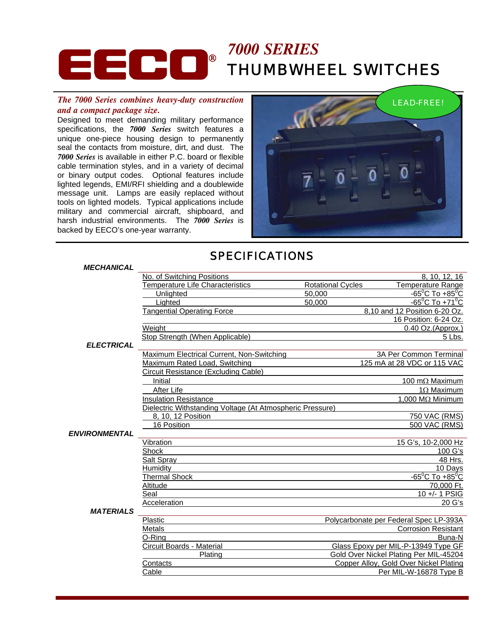# **ECCC**<sup>®</sup> <sup>7000 SERIES</sup> THUMBWHEEL SWITCHES

#### *The 7000 Series combines heavy-duty construction and a compact package size.*

Designed to meet demanding military performance specifications, the *7000 Series* switch features a unique one-piece housing design to permanently seal the contacts from moisture, dirt, and dust. The *7000 Series* is available in either P.C. board or flexible cable termination styles, and in a variety of decimal or binary output codes. Optional features include lighted legends, EMI/RFI shielding and a doublewide message unit. Lamps are easily replaced without tools on lighted models. Typical applications include military and commercial aircraft, shipboard, and harsh industrial environments. The *7000 Series* is backed by EECO's one-year warranty.



## SPECIFICATIONS

#### *MECHANICAL*

|                      | No. of Switching Positions                                |                          | 8, 10, 12, 16                          |
|----------------------|-----------------------------------------------------------|--------------------------|----------------------------------------|
|                      | <b>Temperature Life Characteristics</b>                   | <b>Rotational Cycles</b> | <b>Temperature Range</b>               |
|                      | Unlighted                                                 | 50,000                   | $-65^{\circ}$ C To +85 $^{\circ}$ C    |
|                      | Lighted                                                   | 50,000                   | $-65^{\circ}$ C To +71 $\circ$ C       |
|                      | <b>Tangential Operating Force</b>                         |                          | 8,10 and 12 Position 6-20 Oz.          |
|                      |                                                           |                          | 16 Position: 6-24 Oz.                  |
|                      | Weight                                                    |                          | 0.40 Oz.(Approx.)                      |
|                      | Stop Strength (When Applicable)                           |                          | 5 Lbs.                                 |
| <b>ELECTRICAL</b>    |                                                           |                          |                                        |
|                      | Maximum Electrical Current, Non-Switching                 |                          | <b>3A Per Common Terminal</b>          |
|                      | Maximum Rated Load, Switching                             |                          | 125 mA at 28 VDC or 115 VAC            |
|                      | Circuit Resistance (Excluding Cable)                      |                          |                                        |
|                      | Initial                                                   |                          | 100 m $\Omega$ Maximum                 |
|                      | After Life                                                |                          | $1\Omega$ Maximum                      |
|                      | <b>Insulation Resistance</b>                              |                          | 1,000 MΩ Minimum                       |
|                      | Dielectric Withstanding Voltage (At Atmospheric Pressure) |                          |                                        |
|                      | 8, 10, 12 Position                                        |                          | 750 VAC (RMS)                          |
|                      | 16 Position                                               |                          | 500 VAC (RMS)                          |
| <b>ENVIRONMENTAL</b> |                                                           |                          |                                        |
|                      | Vibration                                                 |                          | 15 G's, 10-2,000 Hz                    |
|                      | <b>Shock</b>                                              |                          | 100 G's                                |
|                      | Salt Spray                                                |                          | 48 Hrs.                                |
|                      | Humidity                                                  |                          | 10 Days                                |
|                      | <b>Thermal Shock</b>                                      |                          | $-65^{\circ}$ C To $+85^{\circ}$ C     |
|                      | Altitude                                                  |                          | 70,000 Ft.                             |
|                      | Seal                                                      |                          | 10 +/- 1 PSIG                          |
|                      | Acceleration                                              |                          | 20 G's                                 |
| <b>MATERIALS</b>     |                                                           |                          |                                        |
|                      | Plastic                                                   |                          | Polycarbonate per Federal Spec LP-393A |
|                      | Metals                                                    |                          | <b>Corrosion Resistant</b>             |
|                      | O-Rina                                                    |                          | Buna-N                                 |
|                      | Circuit Boards - Material                                 |                          | Glass Epoxy per MIL-P-13949 Type GF    |
|                      | Plating                                                   |                          | Gold Over Nickel Plating Per MIL-45204 |
|                      | Contacts                                                  |                          | Copper Alloy, Gold Over Nickel Plating |
|                      | Cable                                                     |                          | Per MIL-W-16878 Type B                 |
|                      |                                                           |                          |                                        |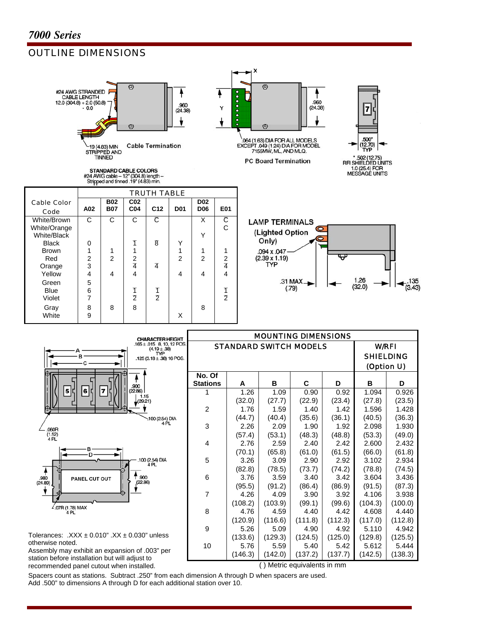Cable Color

Code **A02** 

Green | 5

Black  $\begin{array}{|c|c|c|c|c|c|c|c|} \hline \end{array}$  0 1 1

### OUTLINE DIMENSIONS



STANDARD CABLE COLORS #24 AWG cable - 12" (304.8) length -<br>Stripped and tinned .19" (4.83) min.

> **B02 B07**

**C02** 

Brown | 1 | 1 | 1 | 1 | 1 | 1 Red 2 2 2 2 2 2 2 Orange  $3$   $4$   $4$   $4$   $1$ Yellow | 4 | 4 | 4 | 4 | 4 | 4 | 4

Blue | 6 | | 1 | 1 | 1 | 1 Violet | 7 | | 2 | 2 | | | | 2 Gray | 8 | 8 | 8 | 1 | 8 White  $9$  | | | | X

White/Brown C C C C X C<br>White/Orange C C C X C White/Orange C White/Black 0 1 8 Y

TRUTH TABLE

**D02 D06 E01** 

**C04 C12 D01** 







| <b>CHARACTER HEIGHT</b>                                          |                           |                               | <b>MOUNTING DIMENSIONS</b> |                 |                 |                  |                  |  |  |  |  |  |
|------------------------------------------------------------------|---------------------------|-------------------------------|----------------------------|-----------------|-----------------|------------------|------------------|--|--|--|--|--|
| $.165 \pm .015$ 8, 10, 12 POS.<br>$(4.19 \pm .38)$<br><b>TYP</b> |                           | <b>STANDARD SWITCH MODELS</b> |                            |                 |                 | <b>W/RFI</b>     | <b>SHIELDING</b> |  |  |  |  |  |
| .125 (3.18 ± .38) 16 POS.                                        |                           |                               |                            |                 |                 |                  |                  |  |  |  |  |  |
| .900                                                             | No. Of<br><b>Stations</b> | A                             | в                          | C               | D               | в                | (Option U)<br>D  |  |  |  |  |  |
| 5   C<br> 6 <br>$\overline{7}$<br>(22.86)<br>1.15                |                           | 1.26                          | 1.09                       | 0.90            | 0.92            | 1.094            | 0.926            |  |  |  |  |  |
| (29.21)                                                          | $\overline{c}$            | (32.0)<br>1.76                | (27.7)<br>1.59             | (22.9)<br>1.40  | (23.4)<br>1.42  | (27.8)<br>1.596  | (23.5)<br>1.428  |  |  |  |  |  |
| :100 (2.54) DIA<br>4 PL                                          |                           | (44.7)                        | (40.4)                     | (35.6)          | (36.1)          | (40.5)           | (36.3)           |  |  |  |  |  |
| ,060R<br>$(1.52)$<br>4 PL                                        | 3                         | 2.26<br>(57.4)                | 2.09<br>(53.1)             | 1.90<br>(48.3)  | 1.92<br>(48.8)  | 2.098<br>(53.3)  | 1.930<br>(49.0)  |  |  |  |  |  |
|                                                                  | 4                         | 2.76                          | 2.59                       | 2.40            | 2.42            | 2.600            | 2.432            |  |  |  |  |  |
| в<br>.100 (2.54) DIA                                             | 5                         | (70.1)<br>3.26                | (65.8)<br>3.09             | (61.0)<br>2.90  | (61.5)<br>2.92  | (66.0)<br>3.102  | (61.8)<br>2.934  |  |  |  |  |  |
| 4PL                                                              |                           | (82.8)                        | (78.5)                     | (73.7)          | (74.2)          | (78.8)           | (74.5)           |  |  |  |  |  |
| .900<br>.980<br><b>PANEL CUT OUT</b><br>(24.89)<br>(22.86)       | 6                         | 3.76                          | 3.59                       | 3.40            | 3.42            | 3.604            | 3.436            |  |  |  |  |  |
|                                                                  | 7                         | (95.5)<br>4.26                | (91.2)<br>4.09             | (86.4)<br>3.90  | (86.9)<br>3.92  | (91.5)<br>4.106  | (87.3)<br>3.938  |  |  |  |  |  |
|                                                                  |                           | (108.2)                       | (103.9)                    | (99.1)          | (99.6)          | (104.3)          | (100.0)          |  |  |  |  |  |
| $\frac{2}{107}$ (1.78) MAX<br>4 PL                               | 8                         | 4.76                          | 4.59                       | 4.40            | 4.42            | 4.608            | 4.440            |  |  |  |  |  |
|                                                                  | 9                         | (120.9)<br>5.26               | (116.6)<br>5.09            | (111.8)<br>4.90 | (112.3)<br>4.92 | (117.0)<br>5.110 | (112.8)<br>4.942 |  |  |  |  |  |
| $\alpha$ olerances: $.$ XXX $\pm$ 0.010" .XX $\pm$ 0.030" unless |                           | (133.6)                       | (129.3)                    | (124.5)         | (125.0)         | (129.8)          | (125.5)          |  |  |  |  |  |

Tolerances:  $.XXX \pm 0.010"$   $.XX \pm 0.030"$  unless otherwise noted.

Assembly may exhibit an expansion of .003" per station before installation but will adjust to recommended panel cutout when installed. ( ) Metric equivalents in mm

10 | 5.76 | 5.59 | 5.40 | 5.42 | 5.612 | 5.444  $(146.3)$   $(142.0)$   $(137.2)$   $(137.7)$   $(142.5)$   $(138.3)$ 

Spacers count as stations. Subtract .250" from each dimension A through D when spacers are used. Add .500" to dimensions A through D for each additional station over 10.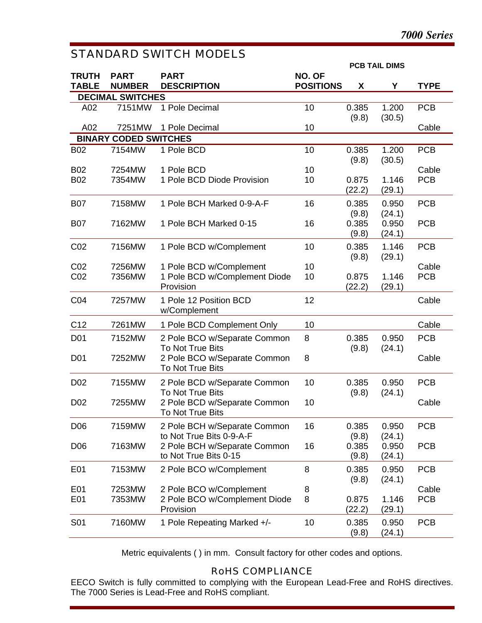## STANDARD SWITCH MODELS

|                 |                              |                                                          |                  |                 | <b>PCB TAIL DIMS</b> |             |
|-----------------|------------------------------|----------------------------------------------------------|------------------|-----------------|----------------------|-------------|
| <b>TRUTH</b>    | <b>PART</b>                  | <b>PART</b>                                              | NO. OF           |                 |                      |             |
| <b>TABLE</b>    | <b>NUMBER</b>                | <b>DESCRIPTION</b>                                       | <b>POSITIONS</b> | X               | Υ                    | <b>TYPE</b> |
|                 | <b>DECIMAL SWITCHES</b>      |                                                          |                  |                 |                      |             |
| A02             | 7151MW                       | 1 Pole Decimal                                           | 10               | 0.385           | 1.200                | <b>PCB</b>  |
| A02             | 7251MW                       | 1 Pole Decimal                                           | 10               | (9.8)           | (30.5)               | Cable       |
|                 | <b>BINARY CODED SWITCHES</b> |                                                          |                  |                 |                      |             |
| <b>B02</b>      | 7154MW                       | 1 Pole BCD                                               | 10               | 0.385<br>(9.8)  | 1.200<br>(30.5)      | <b>PCB</b>  |
| <b>B02</b>      | 7254MW                       | 1 Pole BCD                                               | 10               |                 |                      | Cable       |
| <b>B02</b>      | 7354MW                       | 1 Pole BCD Diode Provision                               | 10               | 0.875<br>(22.2) | 1.146<br>(29.1)      | <b>PCB</b>  |
| <b>B07</b>      | 7158MW                       | 1 Pole BCH Marked 0-9-A-F                                | 16               | 0.385<br>(9.8)  | 0.950<br>(24.1)      | <b>PCB</b>  |
| <b>B07</b>      | 7162MW                       | 1 Pole BCH Marked 0-15                                   | 16               | 0.385<br>(9.8)  | 0.950<br>(24.1)      | <b>PCB</b>  |
| CO <sub>2</sub> | 7156MW                       | 1 Pole BCD w/Complement                                  | 10               | 0.385<br>(9.8)  | 1.146<br>(29.1)      | <b>PCB</b>  |
| CO <sub>2</sub> | 7256MW                       | 1 Pole BCD w/Complement                                  | 10               |                 |                      | Cable       |
| CO <sub>2</sub> | 7356MW                       | 1 Pole BCD w/Complement Diode<br>Provision               | 10               | 0.875<br>(22.2) | 1.146<br>(29.1)      | <b>PCB</b>  |
| CO <sub>4</sub> | 7257MW                       | 1 Pole 12 Position BCD<br>w/Complement                   | 12               |                 |                      | Cable       |
| C12             | 7261MW                       | 1 Pole BCD Complement Only                               | 10               |                 |                      | Cable       |
| D <sub>01</sub> | 7152MW                       | 2 Pole BCO w/Separate Common<br>To Not True Bits         | 8                | 0.385<br>(9.8)  | 0.950<br>(24.1)      | <b>PCB</b>  |
| D <sub>01</sub> | 7252MW                       | 2 Pole BCO w/Separate Common<br>To Not True Bits         | 8                |                 |                      | Cable       |
| D <sub>02</sub> | 7155MW                       | 2 Pole BCD w/Separate Common<br>To Not True Bits         | 10               | 0.385<br>(9.8)  | 0.950<br>(24.1)      | <b>PCB</b>  |
| D <sub>02</sub> | 7255MW                       | 2 Pole BCD w/Separate Common<br>To Not True Bits         | 10               |                 |                      | Cable       |
| D <sub>06</sub> | 7159MW                       | 2 Pole BCH w/Separate Common<br>to Not True Bits 0-9-A-F | 16               | 0.385<br>(9.8)  | 0.950<br>(24.1)      | <b>PCB</b>  |
| D <sub>06</sub> | 7163MW                       | 2 Pole BCH w/Separate Common<br>to Not True Bits 0-15    | 16               | 0.385<br>(9.8)  | 0.950<br>(24.1)      | <b>PCB</b>  |
| E01             | 7153MW                       | 2 Pole BCO w/Complement                                  | 8                | 0.385<br>(9.8)  | 0.950<br>(24.1)      | <b>PCB</b>  |
| E01             | 7253MW                       | 2 Pole BCO w/Complement                                  | 8                |                 |                      | Cable       |
| E01             | 7353MW                       | 2 Pole BCO w/Complement Diode<br>Provision               | 8                | 0.875<br>(22.2) | 1.146<br>(29.1)      | <b>PCB</b>  |
| S01             | 7160MW                       | 1 Pole Repeating Marked +/-                              | 10               | 0.385<br>(9.8)  | 0.950<br>(24.1)      | <b>PCB</b>  |

Metric equivalents ( ) in mm. Consult factory for other codes and options.

#### RoHS COMPLIANCE

EECO Switch is fully committed to complying with the European Lead-Free and RoHS directives. The 7000 Series is Lead-Free and RoHS compliant.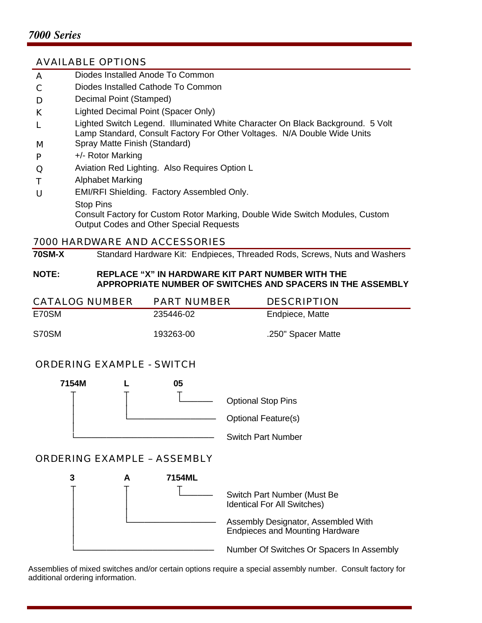#### AVAILABLE OPTIONS

- A Diodes Installed Anode To Common
- C Diodes Installed Cathode To Common
- D Decimal Point (Stamped)
- K Lighted Decimal Point (Spacer Only)
- L Lighted Switch Legend. Illuminated White Character On Black Background. 5 Volt Lamp Standard, Consult Factory For Other Voltages. N/A Double Wide Units
- M Spray Matte Finish (Standard)
- P +/- Rotor Marking
- Q Aviation Red Lighting. Also Requires Option L
- T Alphabet Marking
- U EMI/RFI Shielding. Factory Assembled Only.
- Stop Pins Consult Factory for Custom Rotor Marking, Double Wide Switch Modules, Custom Output Codes and Other Special Requests

#### 7000 HARDWARE AND ACCESSORIES

**70SM-X** Standard Hardware Kit: Endpieces, Threaded Rods, Screws, Nuts and Washers

#### **NOTE: REPLACE "X" IN HARDWARE KIT PART NUMBER WITH THE APPROPRIATE NUMBER OF SWITCHES AND SPACERS IN THE ASSEMBLY**

| <b>CATALOG NUMBER</b> | <b>PART NUMBER</b> | <b>DESCRIPTION</b> |
|-----------------------|--------------------|--------------------|
| E70SM                 | 235446-02          | Endpiece, Matte    |
| S70SM                 | 193263-00          | .250" Spacer Matte |

#### ORDERING EXAMPLE - SWITCH



#### ORDERING EXAMPLE – ASSEMBLY



Assemblies of mixed switches and/or certain options require a special assembly number. Consult factory for additional ordering information.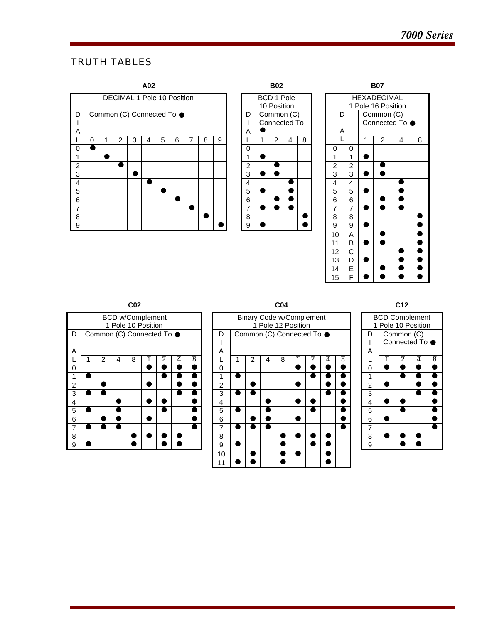## TRUTH TABLES







|                | <b>BCD w/Complement</b><br>1 Pole 10 Position |                                 |  |  |  |  |  |  |  |  |  |  |  |  |
|----------------|-----------------------------------------------|---------------------------------|--|--|--|--|--|--|--|--|--|--|--|--|
| D              | Common (C) Connected To ●                     |                                 |  |  |  |  |  |  |  |  |  |  |  |  |
| I              |                                               |                                 |  |  |  |  |  |  |  |  |  |  |  |  |
| A              |                                               |                                 |  |  |  |  |  |  |  |  |  |  |  |  |
|                |                                               | 2<br>2<br>4<br>8<br>8<br>4<br>٦ |  |  |  |  |  |  |  |  |  |  |  |  |
| 0              |                                               |                                 |  |  |  |  |  |  |  |  |  |  |  |  |
| 1              |                                               |                                 |  |  |  |  |  |  |  |  |  |  |  |  |
| $\overline{c}$ |                                               |                                 |  |  |  |  |  |  |  |  |  |  |  |  |
| $\overline{3}$ |                                               |                                 |  |  |  |  |  |  |  |  |  |  |  |  |
| 4              |                                               |                                 |  |  |  |  |  |  |  |  |  |  |  |  |
| 5              |                                               |                                 |  |  |  |  |  |  |  |  |  |  |  |  |
| 6              |                                               |                                 |  |  |  |  |  |  |  |  |  |  |  |  |
| 7              |                                               |                                 |  |  |  |  |  |  |  |  |  |  |  |  |
| 8              |                                               |                                 |  |  |  |  |  |  |  |  |  |  |  |  |
| 9              |                                               |                                 |  |  |  |  |  |  |  |  |  |  |  |  |

| CO <sub>2</sub> |  |                           |                                               |   |   |                |   | CO <sub>4</sub> |        |                                                       |   |   |   |   |                | C <sub>12</sub> |        |                                             |            |                |                |   |   |
|-----------------|--|---------------------------|-----------------------------------------------|---|---|----------------|---|-----------------|--------|-------------------------------------------------------|---|---|---|---|----------------|-----------------|--------|---------------------------------------------|------------|----------------|----------------|---|---|
|                 |  |                           | <b>BCD w/Complement</b><br>1 Pole 10 Position |   |   |                |   |                 |        | <b>Binary Code w/Complement</b><br>1 Pole 12 Position |   |   |   |   |                |                 |        | <b>BCD Complement</b><br>1 Pole 10 Position |            |                |                |   |   |
| D<br>L<br>A     |  | Common (C) Connected To ● |                                               |   |   |                |   |                 | D<br>A | Common (C) Connected To ●                             |   |   |   |   |                |                 | D<br>A |                                             | Common (C) | Connected To ● |                |   |   |
| L               |  | 2                         | 4                                             | 8 | ٦ | $\overline{2}$ | 4 | 8               |        |                                                       | 2 | 4 | 8 | ٦ | $\overline{2}$ | $\overline{4}$  | 8      |                                             |            | ٦              | $\overline{2}$ | 4 | 8 |
| 0               |  |                           |                                               |   |   |                |   |                 | 0      |                                                       |   |   |   |   |                |                 |        |                                             | $\Omega$   |                |                |   |   |
| 1               |  |                           |                                               |   |   |                |   |                 |        |                                                       |   |   |   |   |                |                 |        |                                             |            |                | Œ              |   |   |
| $\overline{c}$  |  |                           |                                               |   |   |                |   |                 | 2      |                                                       |   |   |   |   |                |                 |        |                                             | 2          |                |                |   |   |
| 3               |  |                           |                                               |   |   |                |   |                 | 3      |                                                       |   |   |   |   |                |                 |        |                                             | 3          |                |                |   |   |
| 4               |  |                           | ٠                                             |   |   |                |   |                 | 4      |                                                       |   | ٠ |   |   |                |                 |        |                                             | 4          |                |                |   |   |
| 5               |  |                           | ٠                                             |   |   |                |   |                 | 5      |                                                       |   | D |   |   |                |                 |        |                                             | 5          |                |                |   |   |
| 6               |  |                           |                                               |   |   |                |   |                 | 6      |                                                       |   | D |   |   |                |                 |        |                                             | 6          |                |                |   |   |
| 7               |  |                           |                                               |   |   |                |   |                 | 7      |                                                       |   |   |   |   |                |                 |        |                                             | 7          |                |                |   |   |
| 8               |  |                           |                                               | Œ |   |                |   |                 | 8      |                                                       |   |   |   |   |                |                 |        |                                             | 8          |                |                |   |   |
| 9               |  |                           |                                               |   |   |                |   |                 | 9      |                                                       |   |   |   |   |                |                 |        |                                             | 9          |                |                |   |   |
|                 |  |                           |                                               |   |   |                |   |                 | 10     |                                                       |   |   |   |   |                | $\mathbf{C}$    |        |                                             |            |                |                |   |   |
|                 |  |                           |                                               |   |   |                |   |                 | 11     |                                                       |   |   |   |   |                |                 |        |                                             |            |                |                |   |   |

| <b>BCD Complement</b><br>1 Pole 10 Position |                                                      |  |  |  |  |  |  |  |  |  |  |  |
|---------------------------------------------|------------------------------------------------------|--|--|--|--|--|--|--|--|--|--|--|
| Common (C)<br>D                             |                                                      |  |  |  |  |  |  |  |  |  |  |  |
|                                             | Connected To ●<br>Α<br>L<br>$\overline{2}$<br>8<br>4 |  |  |  |  |  |  |  |  |  |  |  |
|                                             |                                                      |  |  |  |  |  |  |  |  |  |  |  |
|                                             |                                                      |  |  |  |  |  |  |  |  |  |  |  |
| $\overline{0}$                              |                                                      |  |  |  |  |  |  |  |  |  |  |  |
| 1                                           |                                                      |  |  |  |  |  |  |  |  |  |  |  |
| $\frac{2}{3}$                               |                                                      |  |  |  |  |  |  |  |  |  |  |  |
|                                             |                                                      |  |  |  |  |  |  |  |  |  |  |  |
| $\overline{4}$                              |                                                      |  |  |  |  |  |  |  |  |  |  |  |
| 5                                           |                                                      |  |  |  |  |  |  |  |  |  |  |  |
| $\overline{6}$                              |                                                      |  |  |  |  |  |  |  |  |  |  |  |
| 7                                           |                                                      |  |  |  |  |  |  |  |  |  |  |  |
| 8                                           |                                                      |  |  |  |  |  |  |  |  |  |  |  |
| $\overline{9}$                              |                                                      |  |  |  |  |  |  |  |  |  |  |  |